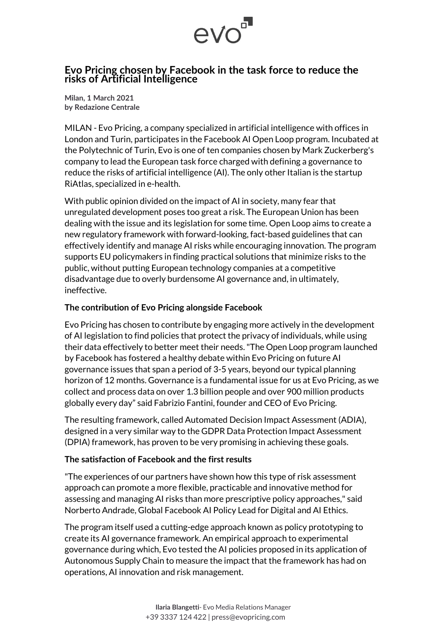

## **Evo Pricing chosen by Facebook in the task force to reduce the risks of Artificial Intelligence**

**Milan, 1 March 2021 by Redazione Centrale**

MILAN - Evo Pricing, a company specialized in artificial intelligence with offices in London and Turin, participates in the Facebook AI Open Loop program. Incubated at the Polytechnic of Turin, Evo is one of ten companies chosen by Mark Zuckerberg's company to lead the European task force charged with defining a governance to reduce the risks of artificial intelligence (AI). The only other Italian is the startup RiAtlas, specialized in e-health.

With public opinion divided on the impact of AI in society, many fear that unregulated development poses too great a risk. The European Union has been dealing with the issue and its legislation for some time. Open Loop aims to create a new regulatory framework with forward-looking, fact-based guidelines that can effectively identify and manage AI risks while encouraging innovation. The program supports EU policymakers in finding practical solutions that minimize risks to the public, without putting European technology companies at a competitive disadvantage due to overly burdensome AI governance and, in ultimately, ineffective.

## **The contribution of Evo Pricing alongside Facebook**

Evo Pricing has chosen to contribute by engaging more actively in the development of AI legislation to find policies that protect the privacy of individuals, while using their data effectively to better meet their needs. "The Open Loop program launched by Facebook has fostered a healthy debate within Evo Pricing on future AI governance issues that span a period of 3-5 years, beyond our typical planning horizon of 12 months. Governance is a fundamental issue for us at Evo Pricing, as we collect and process data on over 1.3 billion people and over 900 million products globally every day" said Fabrizio Fantini, founder and CEO of Evo Pricing.

The resulting framework, called Automated Decision Impact Assessment (ADIA), designed in a very similar way to the GDPR Data Protection Impact Assessment (DPIA) framework, has proven to be very promising in achieving these goals.

## **The satisfaction of Facebook and the first results**

"The experiences of our partners have shown how this type of risk assessment approach can promote a more flexible, practicable and innovative method for assessing and managing AI risks than more prescriptive policy approaches," said Norberto Andrade, Global Facebook AI Policy Lead for Digital and AI Ethics.

The program itself used a cutting-edge approach known as policy prototyping to create its AI governance framework. An empirical approach to experimental governance during which, Evo tested the AI policies proposed in its application of Autonomous Supply Chain to measure the impact that the framework has had on operations, AI innovation and risk management.